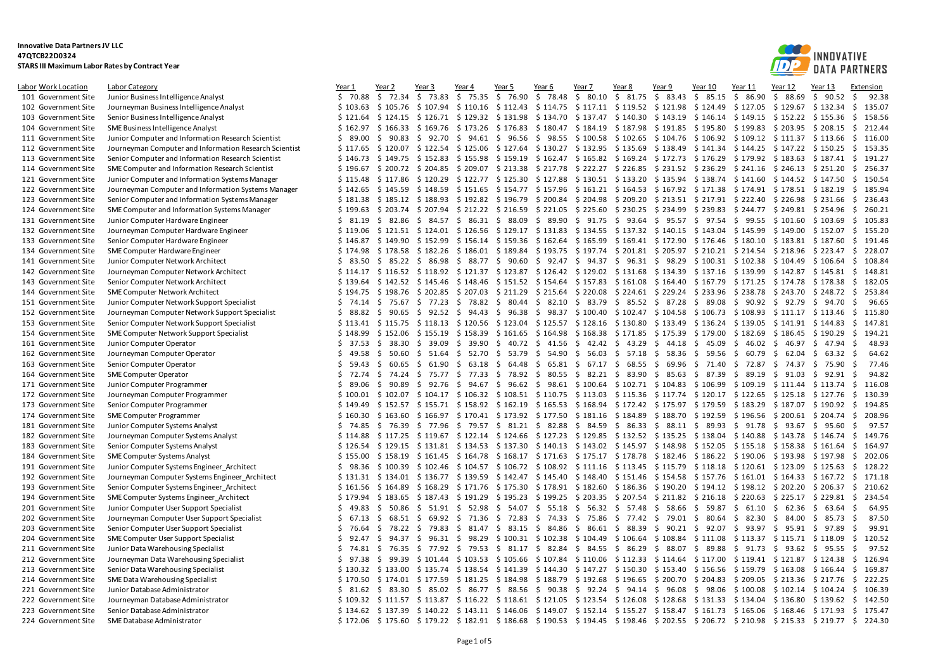

| <b>Labor Work Location</b> | Labor Category                                         | Year 1      | Year 2                  | Year 3                     | Year 4                                                                                                                        | Year 5         | Year 6                  | Year 7                                                                  | Year 8                  | Year 9            | Year 10                                    | Year 11                                                          | Year 12             | Year 13       | Extension      |
|----------------------------|--------------------------------------------------------|-------------|-------------------------|----------------------------|-------------------------------------------------------------------------------------------------------------------------------|----------------|-------------------------|-------------------------------------------------------------------------|-------------------------|-------------------|--------------------------------------------|------------------------------------------------------------------|---------------------|---------------|----------------|
| 101 Government Site        | Junior Business Intelligence Analyst                   | \$70.88     | \$72.34                 | \$<br>73.83                | \$75.35                                                                                                                       | \$76.90        | \$78.48                 | \$80.10                                                                 | \$31.75                 | \$83.43           | \$85.15                                    | \$<br>86.90                                                      | \$<br>88.69         | - \$<br>90.52 | Ŝ.<br>92.38    |
| 102 Government Site        | Journeyman Business Intelligence Analyst               | \$103.63    | \$105.76                |                            | \$107.94 \$110.16                                                                                                             | \$112.43       |                         | $$114.75$ $$117.11$ $$119.52$ $$121.98$ $$124.49$                       |                         |                   |                                            | \$127.05                                                         | $$129.67$ $$132.34$ |               | - \$<br>135.07 |
| 103 Government Site        | Senior Business Intelligence Analyst                   | \$121.64    | \$124.15                |                            | \$126.71 \$129.32                                                                                                             | \$131.98       | \$134.70                | \$137.47                                                                | \$140.30                | \$143.19          |                                            | $$146.14 \t$149.15$                                              | $$152.22 \$155.36$  |               | \$<br>158.56   |
| 104 Government Site        | SME Business Intelligence Analyst                      | \$162.97    | \$166.33                |                            | \$169.76 \$173.26                                                                                                             | \$176.83       | \$180.47                | \$184.19                                                                | \$187.98                |                   | \$191.85 \$195.80                          | \$199.83                                                         | $$203.95$ \$208.15  |               | \$<br>212.44   |
| 111 Government Site        | Junior Computer and Information Research Scientist     | \$89.00     | \$90.83                 | \$<br>92.70                | \$94.61                                                                                                                       | \$96.56        |                         | \$98.55\$100.58                                                         | \$102.65                |                   |                                            | $$104.76 \t$106.92 \t$109.12$                                    | $$111.37$ $$113.66$ |               | \$<br>116.00   |
| 112 Government Site        | Journeyman Computer and Information Research Scientist | \$117.65    | \$120.07                |                            | $$122.54$ $$125.06$ $$127.64$ $$130.27$ $$132.95$                                                                             |                |                         |                                                                         | \$135.69                |                   | $$138.49$ $$141.34$ $$144.25$              |                                                                  | $$147.22 \$150.25$  |               | S.<br>153.35   |
| 113 Government Site        | Senior Computer and Information Research Scientist     | \$146.73    | \$149.75                |                            | \$152.83 \$155.98 \$159.19                                                                                                    |                |                         | \$162.47 \$165.82 \$169.24 \$172.73 \$176.29 \$179.92 \$183.63 \$187.41 |                         |                   |                                            |                                                                  |                     |               | 191.27<br>-\$  |
| 114 Government Site        | SME Computer and Information Research Scientist        | \$196.67    | \$200.72                | \$204.85                   | \$209.07                                                                                                                      | \$213.38       |                         | \$217.78 \$222.27                                                       | \$226.85                |                   | \$231.52 \$236.29                          | \$241.16                                                         | \$246.13            | \$251.20      | 256.37<br>-\$  |
| 121 Government Site        | Junior Computer and Information Systems Manager        | \$115.48    | \$117.86                |                            | $$120.29$ $$122.77$ $$125.30$                                                                                                 |                |                         | $$127.88$ $$130.51$ $$133.20$                                           |                         |                   |                                            | $$135.94$ $$138.74$ $$141.60$                                    | \$144.52 \$147.50   |               | -\$<br>150.54  |
| 122 Government Site        | Journeyman Computer and Information Systems Manager    | \$142.65    | \$145.59                |                            | $$148.59$ $$151.65$ $$154.77$ $$157.96$ $$161.21$ $$164.53$ $$167.92$ $$171.38$ $$174.91$ $$178.51$ $$182.19$                 |                |                         |                                                                         |                         |                   |                                            |                                                                  |                     |               | - \$<br>185.94 |
| 123 Government Site        | Senior Computer and Information Systems Manager        | \$181.38    | \$185.12                |                            | \$188.93 \$192.82                                                                                                             | \$196.79       |                         | \$200.84 \$204.98                                                       | \$209.20                |                   | $$213.51$ $$217.91$ $$222.40$              |                                                                  | \$226.98            | \$231.66      | 236.43<br>-\$  |
| 124 Government Site        | SME Computer and Information Systems Manager           | \$199.63    | \$203.74                |                            | \$207.94 \$212.22 \$216.59                                                                                                    |                |                         | \$221.05 \$225.60                                                       |                         |                   | \$230.25 \$234.99 \$239.83                 | \$244.77 \$249.81 \$254.96                                       |                     |               | \$<br>260.21   |
| 131 Government Site        | Junior Computer Hardware Engineer                      | \$31.19     | \$ 82.86                | $84.57$ \$<br>- \$         | 86.31                                                                                                                         | \$ 88.09       | 89.90<br>\$             | - \$<br>91.75                                                           | \$<br>93.64             | \$95.57           | \$97.54                                    | \$99.55                                                          | \$101.60            | \$103.69      | 105.83<br>-Ś   |
| 132 Government Site        | Journeyman Computer Hardware Engineer                  | \$119.06    |                         |                            | $$121.51$ $$124.01$ $$126.56$ $$129.17$ $$131.83$ $$134.55$ $$137.32$ $$140.15$ $$143.04$ $$145.99$ $$149.00$ $$152.07$       |                |                         |                                                                         |                         |                   |                                            |                                                                  |                     |               | 155.20<br>- \$ |
| 133 Government Site        | Senior Computer Hardware Engineer                      | \$146.87    | \$149.90                |                            | $$152.99$ $$156.14$ $$159.36$ $$162.64$ $$165.99$                                                                             |                |                         |                                                                         |                         |                   | $$169.41 \$172.90 \$176.46 \$180.10$       |                                                                  | $$183.81$ $$187.60$ |               | -\$<br>191.46  |
| 134 Government Site        | SME Computer Hardware Engineer                         | \$174.98    | \$178.58                | \$182.26                   | \$186.01                                                                                                                      | \$189.84       |                         | \$193.75 \$197.74                                                       |                         |                   | $$201.81$ $$205.97$ $$210.21$ $$214.54$    |                                                                  | \$218.96            | \$223.47 \$   | 228.07         |
| 141 Government Site        | Junior Computer Network Architect                      | \$3.50      | \$85.22\$               |                            | 86.98 \$ 88.77 \$ 90.60                                                                                                       |                |                         | $$92.47$ $$94.37$ $$96.31$ $$98.29$ $$100.31$ $$102.38$                 |                         |                   |                                            |                                                                  | \$104.49            | \$106.64      | 108.84<br>- \$ |
| 142 Government Site        | Journeyman Computer Network Architect                  | \$114.17    | \$116.52                |                            | $$118.92 \t$ 121.37 \t$ 123.87$                                                                                               |                |                         | $$126.42 \t$129.02 \t$131.68$                                           |                         |                   | $$134.39$ $$137.16$ $$139.99$              |                                                                  | $$142.87$ $$145.81$ |               | -\$<br>148.81  |
| 143 Government Site        | Senior Computer Network Architect                      |             |                         |                            | \$139.64 \$142.52 \$145.46 \$148.46 \$151.52 \$154.64 \$157.83                                                                |                |                         |                                                                         | \$161.08                |                   | \$164.40 \$167.79 \$171.25                 |                                                                  | \$174.78 \$178.38   |               | Ŝ.<br>182.05   |
| 144 Government Site        | SME Computer Network Architect                         | \$194.75    | \$198.76                | \$202.85                   | \$207.03                                                                                                                      | \$211.29       |                         | $$215.64$ $$220.08$                                                     |                         | \$224.61 \$229.24 |                                            | \$233.96 \$238.78                                                | \$243.70            | \$248.72      | -\$<br>253.84  |
| 151 Government Site        | Junior Computer Network Support Specialist             |             | $$74.14 \t$75.67$       | \$77.23\$                  |                                                                                                                               |                | 78.82 \$ 80.44 \$ 82.10 | \$ 83.79                                                                |                         |                   |                                            | \$ 85.52 \$ 87.28 \$ 89.08 \$ 90.92 \$ 92.79                     |                     | 94.70<br>- \$ | -\$<br>96.65   |
| 152 Government Site        | Journeyman Computer Network Support Specialist         | \$88.82     | \$90.65                 | \$<br>$92.52 \quad $$      | 94.43                                                                                                                         | \$96.38        |                         | \$98.37\$100.40                                                         |                         |                   | $$102.47$ \$104.58 \$106.73 \$108.93       |                                                                  | $$111.17 \t$113.46$ |               | \$<br>115.80   |
| 153 Government Site        | Senior Computer Network Support Specialist             |             | $$113.41 \$115.75$      |                            | $$118.13$ $$120.56$ $$123.04$ $$125.57$ $$128.16$ $$130.80$ $$133.49$ $$136.24$ $$139.05$                                     |                |                         |                                                                         |                         |                   |                                            |                                                                  | $$141.91 \$144.83$  |               | 147.81<br>S.   |
| 154 Government Site        | SME Computer Network Support Specialist                | \$148.99    | \$152.06                |                            | $$155.19$$ $$158.39$                                                                                                          |                |                         | $$161.65 \t$164.98 \t$168.38$                                           |                         |                   | $$171.85 \t$ 175.39 \t$ 179.00 \t$ 182.69$ |                                                                  | \$186.45            | \$190.29      | -Ŝ<br>194.21   |
| 161 Government Site        | Junior Computer Operator                               | \$37.53     | \$<br>38.30             | 39.09<br>S.                | 39.90<br>- S                                                                                                                  | 40.72<br>\$    | \$<br>41.56             | - \$<br>42.42                                                           | 43.29<br>- \$           | \$<br>44.18       | S.<br>45.09                                | \$46.02                                                          | \$<br>46.97         | 47.94<br>-S   | 48.93<br>-Ś    |
| 162 Government Site        | Journeyman Computer Operator                           | \$49.58     | \$ 50.60                | \$<br>$51.64 \quad $$      | 52.70                                                                                                                         | \$53.79        | \$ 54.90                | 56.03<br>\$                                                             | \$ 57.18                | \$58.36\$         | 59.56                                      | \$ 60.79                                                         | \$62.04             | 63.32<br>- S  | -\$<br>64.62   |
| 163 Government Site        | Senior Computer Operator                               | \$<br>59.43 | \$60.65                 | \$<br>61.90                | 63.18<br>- \$                                                                                                                 | \$<br>64.48    | -\$<br>65.81            | \$67.17                                                                 | 68.55<br>- \$           | \$69.96           | \$71.40                                    | \$72.87                                                          | \$74.37             | - \$<br>75.90 | .S<br>77.46    |
| 164 Government Site        | SME Computer Operator                                  | \$72.74     | \$74.24                 | - \$<br>75.77 \$           |                                                                                                                               | 77.33 \$ 78.92 | \$ 80.55                |                                                                         | \$82.21\$383.90\$385.63 |                   |                                            | $$87.39 \t$89.19$                                                | \$91.03             | - \$<br>92.91 | -\$<br>94.82   |
| 171 Government Site        | Junior Computer Programmer                             | \$89.06     | \$90.89                 | 92.76<br>- \$              | \$94.67                                                                                                                       | \$96.62        |                         | $$98.61$ $$100.64$ $$102.71$ $$104.83$ $$106.99$ $$109.19$              |                         |                   |                                            |                                                                  | $$111.44 \$113.74$  |               | 116.08<br>- \$ |
| 172 Government Site        | Journeyman Computer Programmer                         | \$100.01    | \$102.07                |                            | $$104.17 \$106.32 \$108.51 \$110.75 \$113.03$                                                                                 |                |                         |                                                                         | \$115.36                |                   | $$117.74 \t$120.17 \t$122.65$              |                                                                  | \$125.18            | \$127.76      | 130.39<br>-S   |
| 173 Government Site        | Senior Computer Programmer                             | \$149.49    | \$152.57                |                            | \$155.71 \$158.92                                                                                                             | \$162.19       |                         | \$165.53 \$168.94 \$172.42 \$175.97 \$179.59 \$183.29                   |                         |                   |                                            |                                                                  | \$187.07            | \$190.92      | 194.85<br>-\$  |
| 174 Government Site        | SME Computer Programmer                                | \$160.30    | \$163.60                |                            | \$166.97 \$170.41                                                                                                             | \$173.92       |                         | $$177.50$ $$181.16$ $$184.89$                                           |                         |                   | \$188.70 \$192.59                          | \$196.56                                                         | \$200.61            | \$204.74      | -\$<br>208.96  |
| 181 Government Site        | Junior Computer Systems Analyst                        | \$74.85     | \$76.39                 | \$77.96\$                  |                                                                                                                               |                | 79.57 \$ 81.21 \$ 82.88 | \$84.59                                                                 |                         |                   | \$86.33\$588.11\$389.93                    | \$91.78                                                          | $$93.67$ \$         | 95.60         | \$<br>97.57    |
| 182 Government Site        | Journeyman Computer Systems Analyst                    | \$114.88    | \$117.25                |                            | $$119.67$ $$122.14$ $$124.66$                                                                                                 |                |                         | \$127.23 \$129.85                                                       |                         |                   | \$132.52 \$135.25 \$138.04                 | \$140.88                                                         | \$143.78            | \$146.74      | \$<br>149.76   |
| 183 Government Site        | Senior Computer Systems Analyst                        | \$126.54    | \$129.15                |                            | $$131.81$ $$134.53$ $$137.30$                                                                                                 |                |                         | $$140.13 \; $143.02 \; $145.97$                                         |                         |                   | $$148.98$ $$152.05$ $$155.18$              |                                                                  | \$158.38            | \$161.64      | .S<br>164.97   |
| 184 Government Site        | SME Computer Systems Analyst                           | \$155.00    | \$158.19                |                            | \$161.45 \$164.78 \$168.17 \$171.63 \$175.17 \$178.78 \$182.46 \$186.22 \$190.06 \$193.98 \$197.98                            |                |                         |                                                                         |                         |                   |                                            |                                                                  |                     |               | 202.06<br>-Ŝ   |
| 191 Government Site        | Junior Computer Systems Engineer Architect             | \$98.36     | \$100.39                |                            | $$102.46 \t$104.57$                                                                                                           | \$106.72       |                         | $$108.92 \text{ } $111.16$                                              | \$113.45                |                   | $$115.79$ $$118.18$ $$120.61$              |                                                                  | \$123.09            | \$125.63      | 128.22<br>-\$  |
| 192 Government Site        | Journeyman Computer Systems Engineer Architect         | \$131.31    |                         |                            | $$134.01$ $$136.77$ $$139.59$                                                                                                 |                |                         | $$142.47$ $$145.40$ $$148.40$                                           |                         |                   |                                            | $$151.46 \t$ 154.58 \t$ 157.76 \t$ 161.01 \t$ 164.33 \t$ 167.72$ |                     |               | -\$<br>171.18  |
| 193 Government Site        | Senior Computer Systems Engineer_Architect             | \$161.56    | \$164.89                |                            | $$168.29$ $$171.76$ $$175.30$ $$178.91$ $$182.60$                                                                             |                |                         |                                                                         |                         |                   |                                            | $$186.36$ $$190.20$ $$194.12$ $$198.12$ $$202.20$                |                     | \$206.37      | \$<br>210.62   |
| 194 Government Site        | SME Computer Systems Engineer Architect                | \$179.94    | \$183.65                |                            | \$187.43 \$191.29                                                                                                             | \$195.23       | \$199.25                | \$203.35                                                                | \$207.54                | \$211.82          |                                            | $$216.18 \quad $220.63$                                          | \$225.17            | \$229.81      | \$<br>234.54   |
| 201 Government Site        | Junior Computer User Support Specialist                | \$49.83     | \$50.86                 | \$                         | $51.91 \div 52.98$                                                                                                            | \$ 54.07       | \$55.18                 |                                                                         | $$56.32 \t$57.48$       | \$58.66           |                                            | \$59.87\$61.10                                                   | \$62.36             | \$<br>63.64   | .S<br>64.95    |
| 202 Government Site        | Journeyman Computer User Support Specialist            | Ŝ.<br>67.13 | S.<br>68.51             | 69.92<br>- Ś               | - \$<br>71.36                                                                                                                 | \$<br>72.83    | S.<br>74.33             | S.<br>75.86                                                             | - \$<br>77.42           | \$79.01           | S.<br>80.64                                | \$<br>82.30                                                      | S.<br>84.00         | 85.73<br>-S   | 87.50<br>-Ś    |
| 203 Government Site        | Senior Computer User Support Specialist                | \$<br>76.64 | \$<br>78.22             | \$<br>79.83 \$             | 81.47                                                                                                                         | \$83.15        | \$ 84.86                |                                                                         | \$86.61\$38.39          |                   | $$90.21$$ $$92.07$                         | \$93.97                                                          | \$95.91             | 97.89<br>- \$ | 99.91<br>-\$   |
| 204 Government Site        | SME Computer User Support Specialist                   | Ŝ<br>92.47  | \$<br>94.37             | -\$<br>$96.31 \; \text{S}$ | 98.29                                                                                                                         |                | $$100.31$ $$102.38$     | \$104.49                                                                | \$106.64                |                   | \$108.84 \$111.08                          | \$113.37                                                         | \$115.71            | \$118.09      | \$<br>120.52   |
| 211 Government Site        | Junior Data Warehousing Specialist                     | $5$ 74.81   | S.<br>76.35             | \$<br>77.92 \$             |                                                                                                                               | 79.53 \$ 81.17 | \$ 82.84                | \$84.55                                                                 | \$ 86.29                |                   | \$ 88.07 \$ 89.88                          | \$91.73                                                          | \$93.62             | - \$<br>95.55 | -\$<br>97.52   |
| 212 Government Site        | Journeyman Data Warehousing Specialist                 | \$97.38     | \$99.39                 |                            | $$101.44$ $$103.53$ $$105.66$                                                                                                 |                |                         | \$107.84 \$110.06                                                       |                         |                   |                                            | $$112.33$ $$114.64$ $$117.00$ $$119.41$ $$121.87$                |                     | \$124.38      | \$<br>126.94   |
| 213 Government Site        | Senior Data Warehousing Specialist                     | \$130.32    | \$133.00                |                            | $$135.74 \t$138.54 \t$141.39$                                                                                                 |                | \$144.30                |                                                                         | \$147.27 \$150.30       |                   | $$153.40$ $$156.56$ $$159.79$              |                                                                  | \$163.08            | \$166.44      | -\$<br>169.87  |
| 214 Government Site        | SME Data Warehousing Specialist                        | \$170.50    | \$174.01                |                            | \$177.59 \$181.25                                                                                                             | \$184.98       | \$188.79                | \$192.68                                                                | \$196.65                |                   | \$200.70 \$204.83                          | \$209.05                                                         | \$213.36            | \$217.76      | Ŝ.<br>222.25   |
| 221 Government Site        | Junior Database Administrator                          | \$31.62     | \$83.30                 | \$<br>85.02 \$             | 86.77                                                                                                                         | \$ 88.56       | S.<br>90.38             | \$92.24                                                                 | \$94.14                 | \$<br>96.08       | \$<br>98.06                                | \$100.08                                                         | \$102.14            | \$104.24      | .S<br>106.39   |
| 222 Government Site        | Journeyman Database Administrator                      |             |                         |                            | $$109.32$ $$111.57$ $$113.87$ $$116.22$ $$118.61$ $$121.05$ $$123.54$ $$126.08$ $$128.68$ $$131.33$ $$134.04$ $$136.80$       |                |                         |                                                                         |                         |                   |                                            |                                                                  |                     | \$139.62      | -\$<br>142.50  |
| 223 Government Site        | Senior Database Administrator                          |             | $$134.62 \quad $137.39$ |                            | \$140.22 \$143.11 \$146.06 \$149.07 \$152.14 \$155.27 \$158.47 \$161.73 \$165.06 \$168.46 \$171.93 \$                         |                |                         |                                                                         |                         |                   |                                            |                                                                  |                     |               | 175.47         |
| 224 Government Site        | SME Database Administrator                             |             |                         |                            | \$172.06 \$175.60 \$179.22 \$182.91 \$186.68 \$190.53 \$194.45 \$198.46 \$202.55 \$206.72 \$210.98 \$215.33 \$219.77 \$224.30 |                |                         |                                                                         |                         |                   |                                            |                                                                  |                     |               |                |
|                            |                                                        |             |                         |                            |                                                                                                                               |                |                         |                                                                         |                         |                   |                                            |                                                                  |                     |               |                |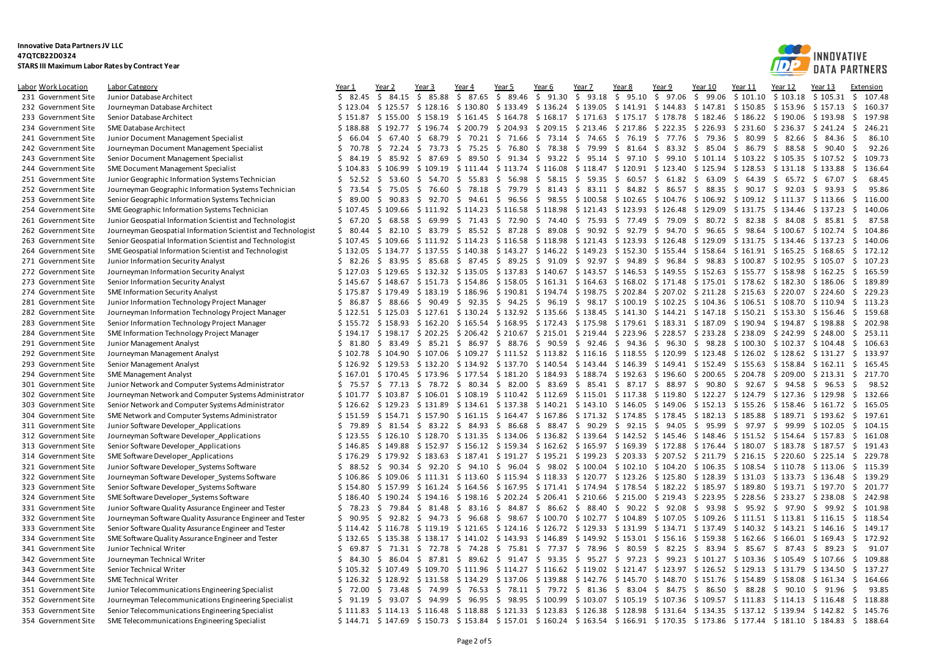

| <u> Labor Work Location</u> | <b>Labor Category</b>                                        | <u>Year 1</u>        | Year 2               | Year 3            | Year 4                        | Year 5         | Year 6                                                | Year 7                                                                                                                                                                                                                        | <u>Year 8</u> | Year 9            | Year 10                                 | Year 11                    | Year 12  | <u>Year 13</u> | Extension                                                                                                                     |
|-----------------------------|--------------------------------------------------------------|----------------------|----------------------|-------------------|-------------------------------|----------------|-------------------------------------------------------|-------------------------------------------------------------------------------------------------------------------------------------------------------------------------------------------------------------------------------|---------------|-------------------|-----------------------------------------|----------------------------|----------|----------------|-------------------------------------------------------------------------------------------------------------------------------|
| 231 Government Site         | Junior Database Architect                                    | \$82.45              | S.<br>84.15          | \$<br>85.88       | 87.65<br>S.                   | \$<br>89.46    | \$91.30                                               | \$93.18                                                                                                                                                                                                                       | \$<br>95.10   | 97.06<br>S.       | \$<br>99.06                             | \$101.10                   | \$103.18 | \$105.31       | \$<br>107.48                                                                                                                  |
| 232 Government Site         | Journeyman Database Architect                                | \$123.04             |                      |                   |                               |                |                                                       | \$125.57 \$128.16 \$130.80 \$133.49 \$136.24 \$139.05 \$141.91 \$144.83 \$147.81 \$150.85 \$153.96                                                                                                                            |               |                   |                                         |                            |          | \$157.13       | - \$<br>160.37                                                                                                                |
| 233 Government Site         | Senior Database Architect                                    | \$151.87             | \$155.00             | \$158.19          | \$161.45                      |                |                                                       | $$164.78$ $$168.17$ $$171.63$ $$175.17$ $$178.78$ $$182.46$ $$186.22$ $$190.06$                                                                                                                                               |               |                   |                                         |                            |          | \$193.98       | -\$<br>197.98                                                                                                                 |
| 234 Government Site         | SME Database Architect                                       | \$188.88             | \$192.77             |                   | \$196.74 \$200.79             | \$204.93       |                                                       | $$209.15 \text{ } $213.46$                                                                                                                                                                                                    | \$217.86      |                   | $$222.35 \t$226.93 \t$231.60$           |                            | \$236.37 | \$241.24       | \$<br>246.21                                                                                                                  |
| 241 Government Site         | Junior Document Management Specialist                        | \$66.04              | \$67.40              | \$68.79           |                               |                | \$70.21 \$71.66 \$73.14 \$74.65                       |                                                                                                                                                                                                                               |               | \$76.19 \$77.76   |                                         | \$79.36 \$80.99            | \$ 82.66 | \$84.36        | \$<br>86.10                                                                                                                   |
| 242 Government Site         | Journeyman Document Management Specialist                    | \$70.78              | \$72.24              | \$<br>73.73       | - \$                          | 75.25 \$ 76.80 | \$78.38                                               | - \$<br>79.99                                                                                                                                                                                                                 |               | $$81.64 \t$83.32$ |                                         | \$85.04\$586.79            | \$ 88.58 | 90.40<br>-S    | 92.26<br>-\$                                                                                                                  |
| 243 Government Site         | Senior Document Management Specialist                        | \$34.19              | \$85.92              | \$ 87.69          | \$ 89.50 \$ 91.34             |                |                                                       | $$93.22 \t$ 95.14 \t$ 97.10 \t$ 99.10 \t$ 101.14 \t$ 103.22 \t$ 105.35$                                                                                                                                                       |               |                   |                                         |                            |          | \$107.52       | 109.73<br>- \$                                                                                                                |
| 244 Government Site         | SME Document Management Specialist                           | \$104.83             | \$106.99             | \$109.19          |                               |                |                                                       | $$111.44 \t$ 113.74 \t$ 116.08 \t$ 118.47 \t$ 120.91 \t$ 123.40$                                                                                                                                                              |               |                   |                                         | $$125.94$ $$128.53$        | \$131.18 | \$133.88       | -\$<br>136.64                                                                                                                 |
| 251 Government Site         | Junior Geographic Information Systems Technician             | \$52.52              | \$53.60              | \$<br>54.70       | - \$<br>55.83                 |                | $$5, 56.98$ \$ 58.15 \$ 59.35                         |                                                                                                                                                                                                                               |               |                   | $$60.57$ \$61.82 \$63.09                | \$64.39                    | \$65.72  | - \$<br>67.07  | 68.45<br>-\$                                                                                                                  |
| 252 Government Site         | Journeyman Geographic Information Systems Technician         | \$73.54              | \$75.05              |                   |                               |                |                                                       | $$76.60$ $$78.18$ $$79.79$ $$81.43$ $$83.11$ $$84.82$ $$86.57$ $$88.35$ $$90.17$                                                                                                                                              |               |                   |                                         |                            | \$92.03  | \$93.93        | -\$<br>95.86                                                                                                                  |
| 253 Government Site         | Senior Geographic Information Systems Technician             | \$<br>89.00          | \$90.83              | \$<br>92.70       |                               |                |                                                       | $$94.61$ $$96.56$ $$98.55$ $$100.58$ $$102.65$ $$104.76$ $$106.92$ $$109.12$ $$111.37$                                                                                                                                        |               |                   |                                         |                            |          | \$113.66       | S.<br>116.00                                                                                                                  |
| 254 Government Site         | SME Geographic Information Systems Technician                | \$107.45             | \$109.66             |                   |                               |                | $$111.92$ $$114.23$ $$116.58$ $$118.98$ $$121.43$     |                                                                                                                                                                                                                               |               |                   | $$123.93$ $$126.48$ $$129.09$ $$131.75$ |                            | \$134.46 | \$137.23       | - Ś<br>140.06                                                                                                                 |
| 261 Government Site         | Junior Geospatial Information Scientist and Technologist     | \$67.20              | Ŝ.<br>68.58          | \$<br>69.99       | 71.43<br>- \$                 | \$72.90        | \$74.40                                               | \$75.93                                                                                                                                                                                                                       | \$77.49       | \$79.09           | \$ 80.72                                | \$ 82.38                   | \$ 84.08 | 85.81<br>-S    | -S<br>87.58                                                                                                                   |
| 262 Government Site         | Journeyman Geospatial Information Scientist and Technologist | \$80.44              | \$82.10              |                   |                               |                |                                                       | $\frac{2}{5}$ 83.79 $\frac{2}{5}$ 85.52 $\frac{2}{5}$ 87.28 $\frac{2}{5}$ 89.08 $\frac{2}{5}$ 90.92 $\frac{2}{5}$ 92.79 $\frac{2}{5}$ 94.70 $\frac{2}{5}$ 96.65 $\frac{2}{5}$ 98.64 $\frac{2}{5}$ 100.67 $\frac{2}{5}$ 102.74 |               |                   |                                         |                            |          |                | \$<br>104.86                                                                                                                  |
| 263 Government Site         | Senior Geospatial Information Scientist and Technologist     | \$107.45             | \$109.66             |                   |                               |                |                                                       | $$111.92$ $$114.23$ $$116.58$ $$118.98$ $$121.43$ $$123.93$ $$126.48$ $$129.09$ $$131.75$                                                                                                                                     |               |                   |                                         |                            | \$134.46 | \$137.23       | -\$<br>140.06                                                                                                                 |
| 264 Government Site         | SME Geospatial Information Scientist and Technologist        | \$132.05             | \$134.77             |                   |                               |                |                                                       | \$137.55 \$140.38 \$143.27 \$146.22 \$149.23 \$152.30 \$155.44 \$158.64 \$161.91                                                                                                                                              |               |                   |                                         |                            | \$165.25 | \$168.65       | \$<br>172.12                                                                                                                  |
| 271 Government Site         | Junior Information Security Analyst                          | \$82.26              |                      |                   |                               |                |                                                       | \$ 83.95 \$ 85.68 \$ 87.45 \$ 89.25 \$ 91.09 \$ 92.97 \$ 94.89 \$ 96.84 \$ 98.83 \$ 100.87 \$ 102.95                                                                                                                          |               |                   |                                         |                            |          | \$105.07       | 107.23<br>\$                                                                                                                  |
| 272 Government Site         | Journeyman Information Security Analyst                      | \$127.03             | \$129.65             |                   | $$132.32 \$135.05$            | \$137.83       |                                                       | \$140.67 \$143.57                                                                                                                                                                                                             |               | \$146.53 \$149.55 |                                         | $$152.63 \text{ } $155.77$ | \$158.98 | \$162.25       | 165.59<br>- \$                                                                                                                |
|                             |                                                              |                      |                      |                   |                               |                |                                                       |                                                                                                                                                                                                                               |               |                   |                                         |                            |          |                | 189.89                                                                                                                        |
| 273 Government Site         | Senior Information Security Analyst                          | \$145.67<br>\$175.87 | \$148.67<br>\$179.49 | \$183.19          | \$186.96                      |                | \$190.81 \$194.74 \$198.75                            | $$151.73$ $$154.86$ $$158.05$ $$161.31$ $$164.63$ $$168.02$ $$171.48$ $$175.01$ $$178.62$ $$182.30$                                                                                                                           |               |                   | \$202.84 \$207.02 \$211.28 \$215.63     |                            |          | \$186.06       | -\$<br>\$<br>229.23                                                                                                           |
| 274 Government Site         | <b>SME Information Security Analyst</b>                      |                      | \$ 88.66             |                   |                               |                |                                                       |                                                                                                                                                                                                                               |               |                   |                                         |                            | \$220.07 | \$224.60       | \$<br>113.23                                                                                                                  |
| 281 Government Site         | Junior Information Technology Project Manager                | \$86.87              |                      |                   |                               |                |                                                       | $$90.49$ $$92.35$ $$94.25$ $$96.19$ $$98.17$ $$100.19$ $$102.25$ $$104.36$ $$106.51$ $$108.70$                                                                                                                                |               |                   |                                         |                            |          | \$110.94       |                                                                                                                               |
| 282 Government Site         | Journeyman Information Technology Project Manager            |                      | $$122.51$ $$125.03$  |                   |                               |                |                                                       | $$127.61$ $$130.24$ $$132.92$ $$135.66$ $$138.45$ $$141.30$ $$144.21$ $$147.18$ $$150.21$ $$153.30$                                                                                                                           |               |                   |                                         |                            |          | \$156.46       | S.<br>159.68                                                                                                                  |
| 283 Government Site         | Senior Information Technology Project Manager                | \$155.72             | \$158.93             |                   |                               |                | $$162.20$$ $$165.54$$ $$168.95$$ $$172.43$$ $$175.98$ |                                                                                                                                                                                                                               |               |                   | \$179.61 \$183.31 \$187.09              | \$190.94                   | \$194.87 | \$198.88       | 202.98<br>-S                                                                                                                  |
| 284 Government Site         | SME Information Technology Project Manager                   | \$194.17             | \$198.17             |                   |                               |                |                                                       | \$202.25 \$206.42 \$210.67 \$215.01 \$219.44 \$223.96 \$228.57 \$233.28 \$238.09                                                                                                                                              |               |                   |                                         |                            | \$242.99 | \$248.00       | \$<br>253.11                                                                                                                  |
| 291 Government Site         | Junior Management Analyst                                    | \$ 81.80             | \$83.49              |                   |                               |                |                                                       | $\frac{1}{2}$ 85.21 \$ 86.97 \$ 88.76 \$ 90.59 \$ 92.46 \$ 94.36 \$ 96.30 \$ 98.28 \$100.30 \$102.37                                                                                                                          |               |                   |                                         |                            |          | \$104.48       | -\$<br>106.63                                                                                                                 |
| 292 Government Site         | Journeyman Management Analyst                                | \$102.78             | \$104.90             |                   |                               |                |                                                       | $$107.06$ $$109.27$ $$111.52$ $$113.82$ $$116.16$ $$118.55$ $$120.99$ $$123.48$ $$126.02$ $$128.62$                                                                                                                           |               |                   |                                         |                            |          | $$131.27$ \$   | 133.97                                                                                                                        |
| 293 Government Site         | Senior Management Analyst                                    |                      |                      |                   |                               |                |                                                       | \$126.92 \$129.53 \$132.20 \$134.92 \$137.70 \$140.54 \$143.44 \$146.39 \$149.41 \$152.49 \$155.63                                                                                                                            |               |                   |                                         |                            | \$158.84 | \$162.11       | $\ddot{\varsigma}$<br>165.45                                                                                                  |
| 294 Government Site         | SME Management Analyst                                       |                      | $$167.01 \$170.45$   | \$173.96          | \$177.54                      |                | \$181.20 \$184.93 \$188.74                            |                                                                                                                                                                                                                               |               | \$192.63 \$196.60 |                                         | $$200.65 \text{ } $204.78$ | \$209.00 | \$213.31       | 217.70<br>- Ś                                                                                                                 |
| 301 Government Site         | Junior Network and Computer Systems Administrator            | \$75.57              | \$ 77.13             |                   | \$78.72 \$80.34 \$82.00       |                |                                                       | $$83.69$ $$85.41$ $$87.17$ $$88.97$ $$90.80$                                                                                                                                                                                  |               |                   |                                         | \$92.67                    | \$94.58  | 96.53<br>-S    | 98.52<br>-\$                                                                                                                  |
| 302 Government Site         | Journeyman Network and Computer Systems Administrator        | \$101.77             | \$103.87             |                   |                               |                |                                                       | $$106.01$ $$108.19$ $$110.42$ $$112.69$ $$115.01$ $$117.38$                                                                                                                                                                   |               | \$119.80          |                                         | $$122.27$ $$124.79$        | \$127.36 | \$129.98       | \$<br>132.66                                                                                                                  |
| 303 Government Site         | Senior Network and Computer Systems Administrator            | \$126.62             | \$129.23             |                   |                               |                |                                                       | \$131.89 \$134.61 \$137.38 \$140.21 \$143.10 \$146.05 \$149.06 \$152.13 \$155.26 \$158.46                                                                                                                                     |               |                   |                                         |                            |          | \$161.72       | $\ddot{\mathsf{s}}$<br>165.05                                                                                                 |
| 304 Government Site         | SME Network and Computer Systems Administrator               | \$151.59             |                      |                   |                               |                |                                                       | $$154.71$ $$157.90$ $$161.15$ $$164.47$ $$167.86$ $$171.32$ $$174.85$ $$178.45$ $$182.13$ $$185.88$ $$189.71$ $$193.62$                                                                                                       |               |                   |                                         |                            |          |                | \$<br>197.61                                                                                                                  |
| 311 Government Site         | Junior Software Developer Applications                       | \$79.89              | \$31.54              |                   | $$3.22 \t$84.93 \t$86.68$     |                |                                                       | \$88.47\$90.29                                                                                                                                                                                                                | \$92.15       | \$94.05           |                                         | \$95.99\$7.97              | \$99.99  | \$102.05       | S.<br>104.15                                                                                                                  |
| 312 Government Site         | Journeyman Software Developer Applications                   | \$123.55             | \$126.10             |                   |                               |                |                                                       | $$128.70$ $$131.35$ $$134.06$ $$136.82$ $$139.64$ $$142.52$ $$145.46$ $$148.46$ $$151.52$ $$154.64$                                                                                                                           |               |                   |                                         |                            |          | \$157.83       | \$<br>161.08                                                                                                                  |
| 313 Government Site         | Senior Software Developer Applications                       | \$146.85             | \$149.88             |                   | $$152.97$ $$156.12$ $$159.34$ |                |                                                       | \$162.62 \$165.97 \$169.39 \$172.88                                                                                                                                                                                           |               |                   |                                         | $$176.44 \t$180.07$        | \$183.78 | \$187.57       | 191.43<br>- \$                                                                                                                |
| 314 Government Site         | SME Software Developer_Applications                          | \$176.29             |                      |                   |                               |                |                                                       | $$179.92$ $$183.63$ $$187.41$ $$191.27$ $$195.21$ $$199.23$ $$203.33$ $$207.52$ $$211.79$ $$216.15$ $$220.60$                                                                                                                 |               |                   |                                         |                            |          | $$225.14$ \$   | 229.78                                                                                                                        |
| 321 Government Site         | Junior Software Developer Systems Software                   | \$88.52              | \$90.34              | \$92.20           | \$94.10\$596.04               |                |                                                       | $$98.02$$ \$100.04 \$102.10 \$104.20 \$106.35 \$108.54                                                                                                                                                                        |               |                   |                                         |                            | \$110.78 | \$113.06       | \$<br>115.39                                                                                                                  |
| 322 Government Site         | Journeyman Software Developer_Systems Software               | \$106.86             | \$109.06             |                   |                               |                |                                                       | \$111.31 \$113.60 \$115.94 \$118.33 \$120.77 \$123.26                                                                                                                                                                         |               |                   | \$125.80 \$128.39 \$131.03              |                            | \$133.73 | \$136.48       | \$<br>139.29                                                                                                                  |
| 323 Government Site         | Senior Software Developer Systems Software                   | \$154.80             | \$157.99             |                   |                               |                |                                                       | \$161.24 \$164.56 \$167.95 \$171.41 \$174.94 \$178.54 \$182.22 \$185.97 \$189.80 \$193.71 \$197.70                                                                                                                            |               |                   |                                         |                            |          |                | 201.77<br>\$                                                                                                                  |
| 324 Government Site         | SME Software Developer Systems Software                      | \$186.40             | \$190.24             |                   | \$194.16 \$198.16             | \$202.24       |                                                       | $$206.41$ $$210.66$ $$215.00$                                                                                                                                                                                                 |               | \$219.43          |                                         | $$223.95$ $$228.56$        | \$233.27 | \$238.08       | 242.98<br>\$.                                                                                                                 |
| 331 Government Site         | Junior Software Quality Assurance Engineer and Tester        | \$78.23              | \$79.84              | \$<br>81.48       | \$<br>$83.16 \; \S$           | 84.87          |                                                       | $$86.62 \text{ } $88.40 \text{ } $90.22 \text{ } $92.08$                                                                                                                                                                      |               |                   | \$93.98                                 | \$95.92                    | \$97.90  | \$99.92        | -\$<br>101.98                                                                                                                 |
| 332 Government Site         | Journeyman Software Quality Assurance Engineer and Tester    | \$90.95              | \$92.82              | \$<br>94.73       | \$96.68                       | - \$           |                                                       | 98.67 \$100.70 \$102.77 \$104.89                                                                                                                                                                                              |               |                   | $$107.05$ \$109.26 \$111.51 \$113.81    |                            |          | \$116.15       | $\ddot{\mathsf{s}}$<br>118.54                                                                                                 |
| 333 Government Site         | Senior Software Quality Assurance Engineer and Tester        | \$114.42             | \$116.78             |                   |                               |                |                                                       | $$119.19$ $$121.65$ $$124.16$ $$126.72$ $$129.33$ $$131.99$ $$134.71$ $$137.49$ $$140.32$ $$143.21$ $$146.16$                                                                                                                 |               |                   |                                         |                            |          |                | 149.17<br>S.                                                                                                                  |
| 334 Government Site         | SME Software Quality Assurance Engineer and Tester           | \$132.65             | \$135.38             |                   |                               |                |                                                       | $$138.17$ $$141.02$ $$143.93$ $$146.89$ $$149.92$ $$153.01$ $$156.16$ $$159.38$ $$162.66$ $$166.01$ $$169.43$                                                                                                                 |               |                   |                                         |                            |          |                | S.<br>172.92                                                                                                                  |
| 341 Government Site         | Junior Technical Writer                                      | S.<br>69.87          | 71.31<br>-S          | 72.78<br>-S       | 74.28<br>-S                   | \$75.81        | \$77.37                                               | \$<br>78.96                                                                                                                                                                                                                   | 80.59<br>- S  | \$82.25           |                                         | \$83.94\$585.67            | \$87.43  | 89.23<br>-S    | 91.07<br>-S                                                                                                                   |
| 342 Government Site         | Journeyman Technical Writer                                  | \$84.30              | \$ 86.04             |                   |                               |                |                                                       | $$87.81$ $$89.62$ $$91.47$ $$93.35$ $$95.27$ $$97.23$ $$99.23$ $$101.27$ $$103.36$ $$105.49$                                                                                                                                  |               |                   |                                         |                            |          | \$107.66       | \$<br>109.88                                                                                                                  |
| 343 Government Site         | Senior Technical Writer                                      | \$105.32             | \$107.49             |                   |                               |                |                                                       | $$109.70$ $$111.96$ $$114.27$ $$116.62$ $$119.02$ $$121.47$ $$123.97$ $$126.52$ $$129.13$                                                                                                                                     |               |                   |                                         |                            | \$131.79 | \$134.50       | S.<br>137.27                                                                                                                  |
| 344 Government Site         | <b>SME Technical Writer</b>                                  | \$126.32             | \$128.92             | \$131.58 \$134.29 |                               |                |                                                       | $$137.06$ $$139.88$ $$142.76$ $$145.70$                                                                                                                                                                                       |               | \$148.70          |                                         | $$151.76 \t$154.89$        | \$158.08 | \$161.34       | \$<br>164.66                                                                                                                  |
| 351 Government Site         | Junior Telecommunications Engineering Specialist             | \$72.00              | \$73.48              | \$74.99           |                               |                |                                                       | \$ 76.53 \$ 78.11 \$ 79.72 \$ 81.36 \$ 83.04 \$ 84.75 \$ 86.50 \$ 88.28 \$ 90.10                                                                                                                                              |               |                   |                                         |                            |          | \$91.96        | Ŝ.<br>93.85                                                                                                                   |
| 352 Government Site         | Journeyman Telecommunications Engineering Specialist         | \$91.19              | \$93.07              | - \$<br>94.99     |                               |                |                                                       | $$96.95 \pm 98.95 \pm 100.99 \pm 103.07 \pm 105.19 \pm 107.36 \pm 109.57 \pm 111.83 \pm 114.13$                                                                                                                               |               |                   |                                         |                            |          | \$116.48       | \$<br>118.88                                                                                                                  |
| 353 Government Site         | Senior Telecommunications Engineering Specialist             |                      |                      |                   |                               |                |                                                       | \$111.83 \$114.13 \$116.48 \$118.88 \$121.33 \$123.83 \$126.38 \$128.98 \$131.64 \$134.35 \$137.12 \$139.94 \$142.82                                                                                                          |               |                   |                                         |                            |          |                | \$<br>145.76                                                                                                                  |
| 354 Government Site         | SME Telecommunications Engineering Specialist                |                      |                      |                   |                               |                |                                                       |                                                                                                                                                                                                                               |               |                   |                                         |                            |          |                | \$144.71 \$147.69 \$150.73 \$153.84 \$157.01 \$160.24 \$163.54 \$166.91 \$170.35 \$173.86 \$177.44 \$181.10 \$184.83 \$188.64 |
|                             |                                                              |                      |                      |                   |                               |                |                                                       |                                                                                                                                                                                                                               |               |                   |                                         |                            |          |                |                                                                                                                               |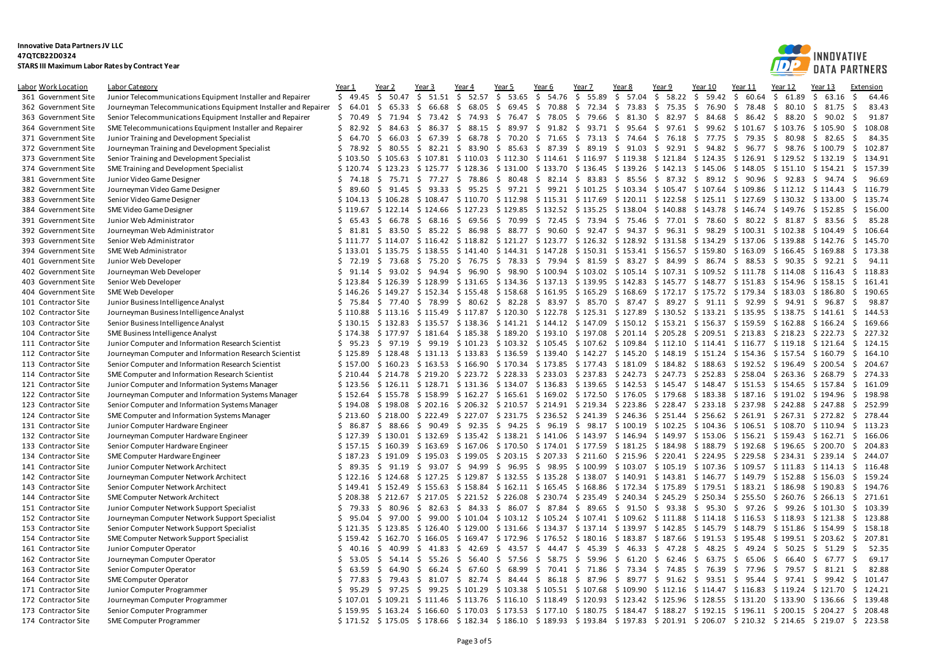

| Labor Work Location | Labor Category                                                    | Year 1      | Year 2              | Year 3           | Year 4                                                                                                                         | Year 5         | Year 6       | Year 7                                                                             | Year 8   | Year 9               | Year 10         | Year 11                                                     | Year 12        | Year 13                    | Extension            |
|---------------------|-------------------------------------------------------------------|-------------|---------------------|------------------|--------------------------------------------------------------------------------------------------------------------------------|----------------|--------------|------------------------------------------------------------------------------------|----------|----------------------|-----------------|-------------------------------------------------------------|----------------|----------------------------|----------------------|
| 361 Government Site | Junior Telecommunications Equipment Installer and Repairer        | 549.45      | \$50.47             | \$51.51          | \$52.57                                                                                                                        | \$53.65        | \$<br>54.76  | \$55.89                                                                            | \$ 57.04 | \$58.22              | \$59.42         | \$<br>60.64                                                 | \$61.89        | \$<br>63.16                | Ŝ.<br>64.46          |
| 362 Government Site | Journeyman Telecommunications Equipment Installer and Repairer \$ | 64.01       | 65.33<br>S.         | - \$<br>66.68    | \$<br>68.05                                                                                                                    | \$69.45        | \$<br>70.88  | \$72.34 \$73.83                                                                    |          | \$75.35              | \$76.90         | \$78.48                                                     | \$80.10        | \$<br>81.75                | Ŝ.<br>83.43          |
| 363 Government Site | Senior Telecommunications Equipment Installer and Repairer        | \$70.49     | S.<br>71.94         | \$<br>73.42      | \$<br>74.93                                                                                                                    | \$76.47        | \$<br>78.05  | 79.66<br>-S                                                                        | \$31.30  | \$<br>82.97          | \$<br>84.68     | \$<br>86.42                                                 | \$ 88.20       | \$90.02                    | -\$<br>91.87         |
| 364 Government Site | SME Telecommunications Equipment Installer and Repairer           | \$ 82.92    | 84.63<br>-S         | - \$<br>86.37 \$ |                                                                                                                                | 88.15 \$ 89.97 | \$           | 91.82 \$ 93.71 \$ 95.64 \$ 97.61 \$ 99.62 \$ 101.67 \$ 103.76                      |          |                      |                 |                                                             |                | \$105.90                   | \$.<br>108.08        |
| 371 Government Site | Junior Training and Development Specialist                        | Ś.<br>64.70 | \$66.03             | \$<br>67.39      | \$<br>68.78                                                                                                                    | \$70.20        | \$71.65      | $$73.13$$ \$ 74.64                                                                 |          |                      | \$76.18 \$77.75 | \$79.35                                                     | \$ 80.98       | \$82.65                    | Ŝ.<br>84.35          |
| 372 Government Site | Journeyman Training and Development Specialist                    | \$<br>78.92 | \$ 80.55 \$         |                  | 82.21 \$ 83.90 \$ 85.63 \$ 87.39 \$ 89.19 \$ 91.03                                                                             |                |              |                                                                                    |          | \$ 92.91 \$ 94.82 \$ |                 |                                                             |                | 96.77 \$ 98.76 \$ 100.79   | 102.87<br>\$.        |
| 373 Government Site | Senior Training and Development Specialist                        | \$103.50    |                     |                  | $$105.63$ $$107.81$ $$110.03$ $$112.30$ $$114.61$ $$116.97$ $$119.38$ $$121.84$ $$124.35$ $$126.91$ $$129.52$ $$132.19$        |                |              |                                                                                    |          |                      |                 |                                                             |                |                            | 134.91<br>- S        |
| 374 Government Site | SME Training and Development Specialist                           | \$120.74    | \$123.23            |                  | $$125.77$ $$128.36$ $$131.00$ $$133.70$ $$136.45$ $$139.26$ $$142.13$ $$145.06$ $$148.05$                                      |                |              |                                                                                    |          |                      |                 |                                                             | \$151.10       | \$154.21                   | Ŝ.<br>157.39         |
| 381 Government Site | Junior Video Game Designer                                        | \$74.18     |                     |                  | \$75.71 \$77.27 \$78.86                                                                                                        | \$ 80.48       |              | $$82.14$ $$83.83$ $$85.56$ $$87.32$ $$89.12$ $$90.96$ $$92.83$                     |          |                      |                 |                                                             |                | \$94.74                    | 96.69<br>-\$         |
| 382 Government Site | Journeyman Video Game Designer                                    | \$89.60     | \$91.45             | \$               | 93.33 \$ 95.25 \$ 97.21 \$ 99.21 \$ 101.25 \$ 103.34 \$ 105.47 \$ 107.64 \$ 109.86 \$ 112.12 \$ 114.43                         |                |              |                                                                                    |          |                      |                 |                                                             |                |                            | S.<br>116.79         |
| 383 Government Site | Senior Video Game Designer                                        | \$104.13    |                     |                  | \$106.28 \$108.47 \$110.70 \$112.98 \$115.31 \$117.69 \$120.11 \$122.58 \$125.11 \$127.69 \$130.32 \$133.00                    |                |              |                                                                                    |          |                      |                 |                                                             |                |                            | 135.74<br>\$.        |
| 384 Government Site | SME Video Game Designer                                           |             |                     |                  | \$119.67 \$122.14 \$124.66 \$127.23 \$129.85 \$132.52 \$135.25 \$138.04 \$140.88 \$143.78 \$146.74 \$149.76 \$152.85           |                |              |                                                                                    |          |                      |                 |                                                             |                |                            | 156.00<br>Ŝ.         |
| 391 Government Site | Junior Web Administrator                                          | \$65.43     | \$ 66.78            | \$               | 68.16 \$ 69.56                                                                                                                 | \$70.99        |              | \$72.45 \$73.94                                                                    | \$75.46  | \$77.01              | \$78.60         | \$ 80.22 \$ 81.87                                           |                | \$3.56                     | 85.28<br>-Ś          |
| 392 Government Site | Journeyman Web Administrator                                      |             |                     |                  | \$ 81.81 \$ 83.50 \$ 85.22 \$ 86.98 \$ 88.77 \$ 90.60 \$ 92.47 \$ 94.37 \$ 96.31 \$ 98.29 \$100.31 \$102.38 \$104.49           |                |              |                                                                                    |          |                      |                 |                                                             |                |                            | - \$<br>106.64       |
| 393 Government Site | Senior Web Administrator                                          |             |                     |                  | \$111.77 \$114.07 \$116.42 \$118.82 \$121.27 \$123.77 \$126.32 \$128.92 \$131.58 \$134.29 \$137.06 \$139.88                    |                |              |                                                                                    |          |                      |                 |                                                             |                | \$142.76                   | 145.70<br>-S         |
| 394 Government Site | SME Web Administrator                                             | \$133.01    |                     |                  | \$135.75 \$138.55 \$141.40 \$144.31 \$147.28 \$150.31 \$153.41 \$156.57 \$159.80 \$163.09                                      |                |              |                                                                                    |          |                      |                 |                                                             |                | $$166.45 \text{ } $169.88$ | 173.38<br>\$.        |
| 401 Government Site | Junior Web Developer                                              | \$72.19     | \$73.68             |                  | \$ 75.20 \$ 76.75 \$ 78.33 \$ 79.94 \$ 81.59 \$ 83.27 \$ 84.99 \$ 86.74 \$ 88.53 \$ 90.35 \$ 92.21                             |                |              |                                                                                    |          |                      |                 |                                                             |                |                            | - \$<br>94.11        |
| 402 Government Site | Journeyman Web Developer                                          | \$91.14     | \$93.02             |                  | \$ 94.94 \$ 96.90                                                                                                              | \$98.90        |              | $$100.94$ $$103.02$ $$105.14$ $$107.31$ $$109.52$ $$111.78$                        |          |                      |                 |                                                             | \$114.08       | \$116.43                   | 118.83<br>-S         |
| 403 Government Site | Senior Web Developer                                              |             | $$123.84$ $$126.39$ |                  | \$128.99 \$131.65 \$134.36 \$137.13 \$139.95 \$142.83 \$145.77 \$148.77 \$151.83 \$154.96                                      |                |              |                                                                                    |          |                      |                 |                                                             |                | \$158.15                   | 161.41<br>- Ś        |
| 404 Government Site | SME Web Developer                                                 | \$146.26    |                     |                  | $$149.27$ $$152.34$ $$155.48$ $$158.68$ $$161.95$ $$165.29$                                                                    |                |              |                                                                                    | \$168.69 |                      |                 | \$172.17 \$175.72 \$179.34 \$183.03                         |                | \$186.80                   | \$<br>190.65         |
|                     | Junior Business Intelligence Analyst                              | \$75.84     |                     |                  | \$77.40 \$78.99 \$80.62 \$82.28                                                                                                |                |              | $\frac{1}{2}$ 83.97 \$ 85.70 \$ 87.47 \$ 89.27 \$ 91.11 \$ 92.99 \$ 94.91 \$ 96.87 |          |                      |                 |                                                             |                |                            | -\$<br>98.87         |
| 101 Contractor Site | Journeyman Business Intelligence Analyst                          | \$110.88    | \$113.16            |                  | \$115.49 \$117.87 \$120.30 \$122.78 \$125.31 \$127.89 \$130.52 \$133.21 \$135.95 \$138.75 \$141.61                             |                |              |                                                                                    |          |                      |                 |                                                             |                |                            | Ŝ.<br>144.53         |
| 102 Contractor Site |                                                                   |             | \$132.83            |                  |                                                                                                                                |                |              |                                                                                    |          |                      |                 |                                                             |                |                            | 169.66               |
| 103 Contractor Site | Senior Business Intelligence Analyst                              | \$130.15    |                     |                  | \$135.57 \$138.36 \$141.21 \$144.12 \$147.09 \$150.12 \$153.21 \$156.37 \$159.59 \$162.88                                      |                |              |                                                                                    |          |                      |                 |                                                             |                | \$166.24                   | \$.<br>227.32        |
| 104 Contractor Site | SME Business Intelligence Analyst                                 | \$174.38    | 97.19               |                  | \$177.97 \$181.64 \$185.38 \$189.20 \$193.10 \$197.08 \$201.14 \$205.28 \$209.51 \$213.83 \$218.23 \$222.73                    |                |              |                                                                                    |          |                      |                 |                                                             |                |                            | - \$<br>Ŝ.<br>124.15 |
| 111 Contractor Site | Junior Computer and Information Research Scientist                | \$95.23     | -S                  | \$               | 99.19 \$101.23 \$103.32 \$105.45 \$107.62 \$109.84 \$112.10 \$114.41 \$116.77 \$119.18                                         |                |              |                                                                                    |          |                      |                 |                                                             |                | \$121.64                   |                      |
| 112 Contractor Site | Journeyman Computer and Information Research Scientist            | \$125.89    |                     |                  | $$128.48$ $$131.13$ $$133.83$ $$136.59$                                                                                        |                |              | \$139.40 \$142.27 \$145.20 \$148.19 \$151.24 \$154.36 \$157.54 \$160.79            |          |                      |                 |                                                             |                |                            | - Ś<br>164.10        |
| 113 Contractor Site | Senior Computer and Information Research Scientist                | \$157.00    | \$160.23            |                  | $$163.53$ $$166.90$ $$170.34$ $$173.85$ $$177.43$ $$181.09$                                                                    |                |              |                                                                                    |          |                      |                 | $$184.82 \$188.63 \$192.52 \$196.49$                        |                | \$200.54                   | 204.67<br>\$.        |
| 114 Contractor Site | SME Computer and Information Research Scientist                   | \$210.44    |                     |                  | \$214.78 \$219.20 \$223.72 \$228.33 \$233.03 \$237.83 \$242.73 \$247.73 \$252.83 \$258.04 \$263.36 \$268.79                    |                |              |                                                                                    |          |                      |                 |                                                             |                |                            | \$.<br>274.33        |
| 121 Contractor Site | Junior Computer and Information Systems Manager                   | \$123.56    |                     |                  | \$126.11 \$128.71 \$131.36 \$134.07 \$136.83 \$139.65 \$142.53 \$145.47 \$148.47 \$151.53 \$154.65 \$157.84                    |                |              |                                                                                    |          |                      |                 |                                                             |                |                            | - Ś<br>161.09        |
| 122 Contractor Site | Journeyman Computer and Information Systems Manager               | \$152.64    | \$155.78            |                  | $$158.99$ $$162.27$ $$165.61$                                                                                                  |                |              | \$169.02 \$172.50                                                                  | \$176.05 | \$179.68 \$183.38    |                 | \$187.16                                                    | \$191.02       | \$194.96                   | 198.98<br>Ŝ.         |
| 123 Contractor Site | Senior Computer and Information Systems Manager                   | \$194.08    | \$198.08            |                  | \$202.16 \$206.32 \$210.57 \$214.91 \$219.34 \$223.86 \$228.47 \$233.18 \$237.98 \$242.88 \$247.88                             |                |              |                                                                                    |          |                      |                 |                                                             |                |                            | - \$<br>252.99       |
| 124 Contractor Site | SME Computer and Information Systems Manager                      | \$213.60    | \$218.00            |                  | $$222.49$ $$227.07$ $$231.75$                                                                                                  |                |              | \$236.52 \$241.39 \$246.36 \$251.44 \$256.62 \$261.91 \$267.31 \$272.82            |          |                      |                 |                                                             |                |                            | \$<br>278.44         |
| 131 Contractor Site | Junior Computer Hardware Engineer                                 | \$86.87     | \$88.66             |                  | $$90.49$ \$ 92.35 \$ 94.25                                                                                                     |                | \$<br>96.19  | $$98.17$ \$100.19 \$102.25 \$104.36 \$106.51 \$108.70 \$110.94                     |          |                      |                 |                                                             |                |                            | \$<br>113.23         |
| 132 Contractor Site | Journeyman Computer Hardware Engineer                             | \$127.39    |                     |                  | $$130.01$ $$132.69$ $$135.42$ $$138.21$ $$141.06$ $$143.97$ $$146.94$ $$149.97$ $$153.06$ $$156.21$ $$159.43$ $$162.71$        |                |              |                                                                                    |          |                      |                 |                                                             |                |                            | - \$<br>166.06       |
| 133 Contractor Site | Senior Computer Hardware Engineer                                 | \$157.15    | \$160.39            |                  | \$163.69 \$167.06                                                                                                              | \$170.50       | \$174.01     | \$177.59                                                                           | \$181.25 | \$184.98 \$188.79    |                 | \$192.68                                                    | \$196.65       | \$200.70                   | 204.83<br>-S         |
| 134 Contractor Site | SME Computer Hardware Engineer                                    | \$187.23    | \$191.09            |                  | \$195.03 \$199.05 \$203.15 \$207.33 \$211.60 \$215.96 \$220.41 \$224.95 \$229.58 \$234.31 \$239.14 \$                          |                |              |                                                                                    |          |                      |                 |                                                             |                |                            | 244.07               |
| 141 Contractor Site | Junior Computer Network Architect                                 | \$89.35     | \$91.19             |                  | \$ 93.07 \$ 94.99                                                                                                              | \$96.95        | \$           | 98.95 \$100.99                                                                     |          |                      |                 | $$103.07$ $$105.19$ $$107.36$ $$109.57$ $$111.83$ $$114.13$ |                |                            | - \$<br>116.48       |
| 142 Contractor Site | Journeyman Computer Network Architect                             | \$122.16    | \$124.68            |                  | $$127.25 \t$129.87 \t$132.55$                                                                                                  |                | \$135.28     | $$138.07$ $$140.91$ $$143.81$ $$146.77$ $$149.79$                                  |          |                      |                 |                                                             |                | \$152.88 \$156.03          | - \$<br>159.24       |
| 143 Contractor Site | Senior Computer Network Architect                                 |             | $$149.41$ $$152.49$ |                  | $$155.63$ $$158.84$ $$162.11$ $$165.45$ $$168.86$ $$172.34$ $$175.89$ $$179.51$ $$183.21$ $$186.98$ $$190.83$                  |                |              |                                                                                    |          |                      |                 |                                                             |                |                            | - Ś<br>194.76        |
| 144 Contractor Site | SME Computer Network Architect                                    | \$208.38    | \$212.67            |                  | \$217.05 \$221.52 \$226.08                                                                                                     |                |              | \$230.74 \$235.49 \$240.34 \$245.29 \$250.34                                       |          |                      |                 | \$255.50                                                    |                | \$260.76 \$266.13          | 271.61<br>- \$       |
| 151 Contractor Site | Junior Computer Network Support Specialist                        | \$79.33     | \$ 80.96            |                  | $\frac{1}{2}$ 82.63 \$ 84.33 \$ 86.07 \$ 87.84 \$ 89.65 \$ 91.50 \$ 93.38 \$ 95.30                                             |                |              |                                                                                    |          |                      |                 | $$97.26$$ $$99.26$$ $$101.30$                               |                |                            | 103.39<br>\$.        |
| 152 Contractor Site | Journeyman Computer Network Support Specialist                    | \$95.04     | \$97.00             | \$               | 99.00 \$101.04 \$103.12 \$105.24 \$107.41 \$109.62 \$111.88 \$114.18 \$116.53 \$118.93                                         |                |              |                                                                                    |          |                      |                 |                                                             |                | \$121.38                   | \$.<br>123.88        |
| 153 Contractor Site | Senior Computer Network Support Specialist                        | \$121.35    |                     |                  | \$123.85 \$126.40 \$129.00 \$131.66 \$134.37 \$137.14 \$139.97 \$142.85 \$145.79                                               |                |              |                                                                                    |          |                      |                 | \$148.79 \$151.86 \$154.99 \$                               |                |                            | 158.18               |
| 154 Contractor Site | SME Computer Network Support Specialist                           | \$159.42    | \$162.70            |                  | $$166.05 \text{ } $169.47 \text{ } $172.96$                                                                                    |                |              | \$176.52 \$180.16 \$183.87 \$187.66 \$191.53 \$195.48                              |          |                      |                 |                                                             | \$199.51       | \$203.62                   | 207.81<br>\$.        |
| 161 Contractor Site | Junior Computer Operator                                          | \$<br>40.16 | S.<br>40.99         | \$<br>41.83      | \$                                                                                                                             | 42.69 \$ 43.57 | -\$<br>44.47 | - \$<br>45.39                                                                      | \$46.33  | \$47.28              | - \$<br>48.25   | \$                                                          | 49.24 \$ 50.25 | \$<br>51.29                | 52.35<br>-\$         |
| 162 Contractor Site | Journeyman Computer Operator                                      | \$53.05     |                     |                  | $$54.14 \t$ 55.26 \t$ 56.40 \t$ 57.56 \t$$                                                                                     |                |              | 58.75 \$ 59.96 \$ 61.20 \$ 62.46 \$ 63.75 \$ 65.06                                 |          |                      |                 |                                                             | \$66.40        | \$67.77                    | 69.17<br>-S          |
| 163 Contractor Site | Senior Computer Operator                                          | Ś.<br>63.59 | 64.90<br>S.         | 66.24<br>\$      | \$<br>67.60                                                                                                                    | \$68.99        | \$           | 70.41 \$ 71.86                                                                     |          | \$73.34 \$74.85      | \$76.39         | \$77.96                                                     | \$79.57        | \$31.21                    | 82.88<br>-Ś          |
| 164 Contractor Site | <b>SME Computer Operator</b>                                      | S.<br>77.83 | \$79.43             | - \$             | 81.07 \$ 82.74 \$ 84.44 \$ 86.18 \$ 87.96 \$ 89.77 \$ 91.62 \$ 93.51 \$                                                        |                |              |                                                                                    |          |                      |                 |                                                             |                | 95.44 \$ 97.41 \$ 99.42    | \$.<br>101.47        |
| 171 Contractor Site | Junior Computer Programmer                                        | \$95.29     | \$97.25             | \$               | 99.25 \$101.29 \$103.38                                                                                                        |                |              | $$105.51$ $$107.68$ $$109.90$ $$112.16$ $$114.47$ $$116.83$ $$119.24$ $$121.70$    |          |                      |                 |                                                             |                |                            | \$.<br>124.21        |
| 172 Contractor Site | Journeyman Computer Programmer                                    |             |                     |                  | \$107.01 \$109.21 \$111.46 \$113.76 \$116.10 \$118.49 \$120.93 \$123.42 \$125.96 \$128.55 \$131.20 \$133.90 \$136.66           |                |              |                                                                                    |          |                      |                 |                                                             |                |                            | 139.48<br>\$.        |
| 173 Contractor Site | Senior Computer Programmer                                        |             |                     |                  | \$159.95 \$163.24 \$166.60 \$170.03 \$173.53 \$177.10 \$180.75 \$184.47 \$188.27 \$192.15 \$196.11 \$200.15 \$204.27 \$        |                |              |                                                                                    |          |                      |                 |                                                             |                |                            | 208.48               |
| 174 Contractor Site | SME Computer Programmer                                           |             |                     |                  | \$171.52 \$175.05 \$178.66 \$182.34 \$186.10 \$189.93 \$193.84 \$197.83 \$201.91 \$206.07 \$210.32 \$214.65 \$219.07 \$ 223.58 |                |              |                                                                                    |          |                      |                 |                                                             |                |                            |                      |
|                     |                                                                   |             |                     |                  |                                                                                                                                |                |              |                                                                                    |          |                      |                 |                                                             |                |                            |                      |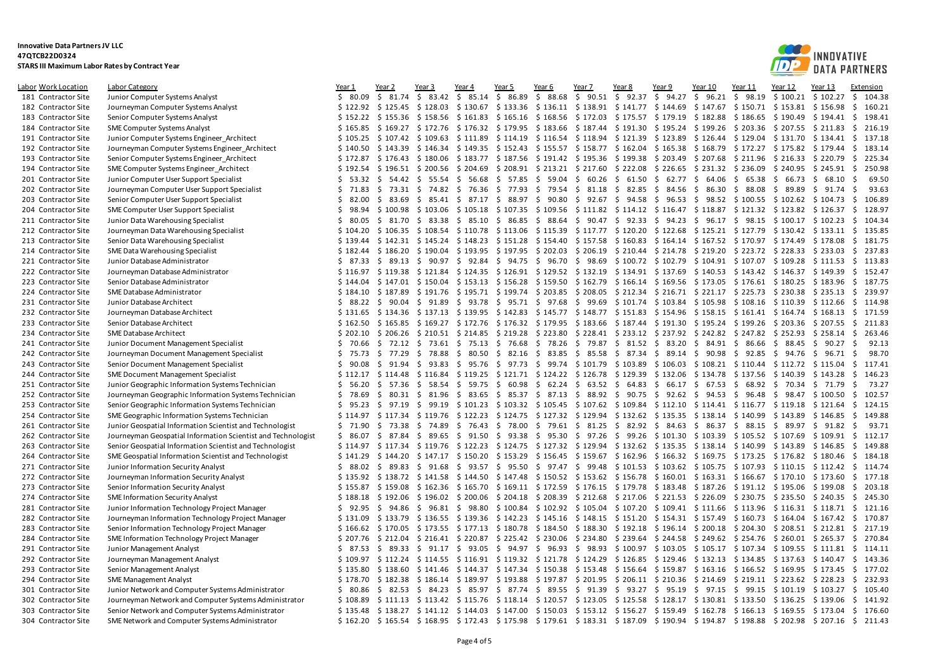

| Labor Work Location | <b>Labor Category</b>                                        | Year 1      | Year 2   | Year <sub>3</sub>                                                                                                                                                                                       | Year 4                                        | Year 5   | Year 6                                | Year 7                                                                                                                                                                                                                            | Year 8   | Year 9  | Year 10                             | Year 11 | Year 12            | Year 13                                               | Extension      |
|---------------------|--------------------------------------------------------------|-------------|----------|---------------------------------------------------------------------------------------------------------------------------------------------------------------------------------------------------------|-----------------------------------------------|----------|---------------------------------------|-----------------------------------------------------------------------------------------------------------------------------------------------------------------------------------------------------------------------------------|----------|---------|-------------------------------------|---------|--------------------|-------------------------------------------------------|----------------|
| 181 Contractor Site | Junior Computer Systems Analyst                              | \$80.09     | \$31.74  | \$<br>83.42                                                                                                                                                                                             | \$85.14                                       | \$ 86.89 | \$88.68                               | $$90.51 \$92.37$                                                                                                                                                                                                                  |          | \$94.27 | \$96.21                             | \$98.19 | \$100.21           | \$102.27                                              | S.<br>104.38   |
| 182 Contractor Site | Journeyman Computer Systems Analyst                          | \$122.92    |          | \$125.45 \$128.03 \$130.67 \$133.36 \$136.11 \$138.91 \$141.77 \$144.69 \$147.67 \$150.71 \$153.81 \$156.98                                                                                             |                                               |          |                                       |                                                                                                                                                                                                                                   |          |         |                                     |         |                    |                                                       | \$<br>160.21   |
| 183 Contractor Site | Senior Computer Systems Analyst                              | \$152.22    | \$155.36 |                                                                                                                                                                                                         | $$158.56 \$161.83$                            |          |                                       | $$165.16$ $$168.56$ $$172.03$ $$175.57$ $$179.19$ $$182.88$ $$186.65$                                                                                                                                                             |          |         |                                     |         | \$190.49           | \$194.41                                              | -\$<br>198.41  |
| 184 Contractor Site | SME Computer Systems Analyst                                 | \$165.85    |          | \$169.27 \$172.76 \$176.32 \$179.95 \$183.66 \$187.44 \$191.30 \$195.24 \$199.26 \$203.36 \$207.55 \$211.83                                                                                             |                                               |          |                                       |                                                                                                                                                                                                                                   |          |         |                                     |         |                    |                                                       | - \$<br>216.19 |
| 191 Contractor Site | Junior Computer Systems Engineer Architect                   | \$105.25    |          | \$107.42 \$109.63 \$111.89 \$114.19 \$116.54 \$118.94 \$121.39 \$123.89 \$126.44 \$129.04 \$131.70 \$134.41                                                                                             |                                               |          |                                       |                                                                                                                                                                                                                                   |          |         |                                     |         |                    |                                                       | 137.18<br>\$   |
| 192 Contractor Site | Journeyman Computer Systems Engineer Architect               | \$140.50    | \$143.39 |                                                                                                                                                                                                         |                                               |          |                                       | \$146.34 \$149.35 \$152.43 \$155.57 \$158.77 \$162.04 \$165.38 \$168.79 \$172.27 \$175.82 \$179.44                                                                                                                                |          |         |                                     |         |                    |                                                       | 183.14<br>-\$  |
| 193 Contractor Site | Senior Computer Systems Engineer Architect                   |             |          | \$172.87 \$176.43 \$180.06 \$183.77 \$187.56 \$191.42 \$195.36 \$199.38 \$203.49 \$207.68 \$211.96 \$216.33 \$220.79                                                                                    |                                               |          |                                       |                                                                                                                                                                                                                                   |          |         |                                     |         |                    |                                                       | 225.34<br>- \$ |
| 194 Contractor Site | SME Computer Systems Engineer Architect                      | \$192.54    |          | $$196.51$ $$200.56$ $$204.69$                                                                                                                                                                           |                                               |          |                                       | $$208.91$ $$213.21$ $$217.60$ $$222.08$ $$226.65$ $$231.32$ $$236.09$                                                                                                                                                             |          |         |                                     |         | \$240.95           | \$245.91                                              | -\$<br>250.98  |
| 201 Contractor Site | Junior Computer User Support Specialist                      | \$53.32     | \$ 54.42 |                                                                                                                                                                                                         | $$5.55.54$ \$ 56.68 \$ 57.85                  |          |                                       | $$59.04$ \$ 60.26 \$ 61.50 \$ 62.77 \$ 64.06 \$ 65.38 \$ 66.73 \$                                                                                                                                                                 |          |         |                                     |         |                    | 68.10                                                 | 69.50<br>-\$   |
| 202 Contractor Site | Journeyman Computer User Support Specialist                  | \$71.83     |          | $$73.31$ $$74.82$ $$76.36$                                                                                                                                                                              |                                               |          |                                       | $$77.93$ $$79.54$ $$81.18$ $$82.85$ $$84.56$ $$86.30$ $$88.08$                                                                                                                                                                    |          |         |                                     |         | \$ 89.89           | \$<br>91.74                                           | 93.63<br>-\$   |
| 203 Contractor Site | Senior Computer User Support Specialist                      | \$<br>82.00 | \$ 83.69 |                                                                                                                                                                                                         |                                               |          |                                       | $$3.41$ $$87.17$ $$88.97$ $$90.80$ $$92.67$ $$94.58$ $$96.53$ $$98.52$ $$100.55$                                                                                                                                                  |          |         |                                     |         | \$102.62 \$104.73  |                                                       | 106.89<br>- \$ |
| 204 Contractor Site | SME Computer User Support Specialist                         | \$98.94     |          | $$100.98$ $$103.06$ $$105.18$ $$107.35$ $$109.56$ $$111.82$ $$114.12$ $$116.47$ $$118.87$ $$121.32$ $$123.82$ $$126.37$                                                                                 |                                               |          |                                       |                                                                                                                                                                                                                                   |          |         |                                     |         |                    |                                                       | - \$<br>128.97 |
| 211 Contractor Site | Junior Data Warehousing Specialist                           | \$80.05     | \$31.70  | \$83.38                                                                                                                                                                                                 | \$85.10                                       | \$ 86.85 |                                       | \$ 88.64 \$ 90.47 \$ 92.33 \$ 94.23 \$ 96.17 \$ 98.15                                                                                                                                                                             |          |         |                                     |         | $$100.17 \$102.23$ |                                                       | 104.34<br>-\$  |
| 212 Contractor Site | Journeyman Data Warehousing Specialist                       | \$104.20    |          | \$106.35 \$108.54 \$110.78 \$113.06 \$115.39 \$117.77 \$120.20 \$122.68 \$125.21 \$127.79 \$130.42 \$133.11 \$                                                                                          |                                               |          |                                       |                                                                                                                                                                                                                                   |          |         |                                     |         |                    |                                                       | 135.85         |
| 213 Contractor Site | Senior Data Warehousing Specialist                           | \$139.44    |          | \$142.31 \$145.24 \$148.23 \$151.28 \$154.40 \$157.58 \$160.83 \$164.14 \$167.52 \$170.97 \$174.49 \$178.08                                                                                             |                                               |          |                                       |                                                                                                                                                                                                                                   |          |         |                                     |         |                    |                                                       | -\$<br>181.75  |
| 214 Contractor Site | SME Data Warehousing Specialist                              | \$182.44    | \$186.20 |                                                                                                                                                                                                         |                                               |          |                                       | \$190.04 \$193.95 \$197.95 \$202.03 \$206.19 \$210.44 \$214.78 \$219.20 \$223.72 \$228.33 \$233.03                                                                                                                                |          |         |                                     |         |                    |                                                       | - \$<br>237.83 |
| 221 Contractor Site | Junior Database Administrator                                | \$87.33     |          | \$ 89.13 \$ 90.97 \$ 92.84 \$ 94.75 \$ 96.70 \$ 98.69 \$100.72 \$102.79 \$104.91 \$107.07 \$109.28 \$111.53                                                                                             |                                               |          |                                       |                                                                                                                                                                                                                                   |          |         |                                     |         |                    |                                                       | \$<br>113.83   |
|                     |                                                              |             |          |                                                                                                                                                                                                         |                                               |          |                                       |                                                                                                                                                                                                                                   |          |         |                                     |         |                    |                                                       | 152.47         |
| 222 Contractor Site | Journeyman Database Administrator                            | \$116.97    | \$119.38 |                                                                                                                                                                                                         |                                               |          |                                       | \$121.84 \$124.35 \$126.91 \$129.52 \$132.19 \$134.91 \$137.69 \$140.53 \$143.42                                                                                                                                                  |          |         |                                     |         | \$146.37 \$149.39  |                                                       | -\$            |
| 223 Contractor Site | Senior Database Administrator                                | \$144.04    |          | $$147.01$ $$150.04$ $$153.13$ $$156.28$ $$159.50$ $$162.79$ $$166.14$ $$169.56$ $$173.05$ $$176.61$ $$180.25$ $$183.96$                                                                                 |                                               |          |                                       |                                                                                                                                                                                                                                   |          |         |                                     |         |                    |                                                       | 187.75<br>- \$ |
| 224 Contractor Site | SME Database Administrator                                   | \$184.10    | \$187.89 |                                                                                                                                                                                                         |                                               |          |                                       | \$191.76 \$195.71 \$199.74 \$203.85 \$208.05 \$212.34 \$216.71 \$221.17 \$225.73 \$230.38 \$235.13                                                                                                                                |          |         |                                     |         |                    |                                                       | - \$<br>239.97 |
| 231 Contractor Site | Junior Database Architect                                    |             |          | \$ 88.22 \$ 90.04 \$ 91.89 \$ 93.78 \$ 95.71 \$ 97.68 \$ 99.69 \$ 101.74 \$ 103.84 \$ 105.98 \$ 108.16                                                                                                  |                                               |          |                                       |                                                                                                                                                                                                                                   |          |         |                                     |         | \$110.39 \$112.66  |                                                       | - \$<br>114.98 |
| 232 Contractor Site | Journeyman Database Architect                                |             |          | \$131.65 \$134.36 \$137.13 \$139.95 \$142.83 \$145.77 \$148.77 \$151.83 \$154.96 \$158.15 \$161.41 \$164.74 \$168.13                                                                                    |                                               |          |                                       |                                                                                                                                                                                                                                   |          |         |                                     |         |                    |                                                       | \$<br>171.59   |
| 233 Contractor Site | Senior Database Architect                                    | \$162.50    |          | $$165.85$ $$169.27$ $$172.76$ $$176.32$ $$179.95$ $$183.66$ $$187.44$ $$191.30$ $$195.24$ $$199.26$                                                                                                     |                                               |          |                                       |                                                                                                                                                                                                                                   |          |         |                                     |         | \$203.36           | \$207.55                                              | 211.83<br>-S   |
| 234 Contractor Site | SME Database Architect                                       | \$202.10    |          | \$206.26 \$210.51 \$214.85 \$219.28 \$223.80 \$228.41 \$233.12 \$237.92 \$242.82 \$247.82 \$252.93 \$258.14                                                                                             |                                               |          |                                       |                                                                                                                                                                                                                                   |          |         |                                     |         |                    |                                                       | 263.46<br>- \$ |
| 241 Contractor Site | Junior Document Management Specialist                        | \$70.66     |          | $\frac{2}{5}$ 72.12 $\frac{2}{5}$ 73.61 $\frac{2}{5}$ 75.13 $\frac{2}{5}$ 76.68 $\frac{2}{5}$ 78.26 $\frac{2}{5}$ 79.87 $\frac{2}{5}$ 81.52 $\frac{2}{5}$ 83.20 $\frac{2}{5}$ 84.91 $\frac{2}{5}$ 86.66 |                                               |          |                                       |                                                                                                                                                                                                                                   |          |         |                                     |         | \$ 88.45           | \$90.27                                               | -\$<br>92.13   |
| 242 Contractor Site | Journeyman Document Management Specialist                    | \$75.73     | \$77.29  |                                                                                                                                                                                                         |                                               |          |                                       | $\frac{2}{5}$ 78.88 $\frac{2}{5}$ 80.50 $\frac{2}{5}$ 82.16 $\frac{2}{5}$ 83.85 $\frac{2}{5}$ 85.58 $\frac{2}{5}$ 87.34 $\frac{2}{5}$ 89.14 $\frac{2}{5}$ 90.98 $\frac{2}{5}$ 92.85                                               |          |         |                                     |         | \$94.76            | 96.71<br>- \$                                         | 98.70<br>-\$   |
| 243 Contractor Site | Senior Document Management Specialist                        | \$90.08     | \$91.94  | \$93.83                                                                                                                                                                                                 |                                               |          |                                       | \$ 95.76 \$ 97.73 \$ 99.74 \$ 101.79 \$ 103.89 \$ 106.03 \$ 108.21 \$ 110.44                                                                                                                                                      |          |         |                                     |         | \$112.72 \$115.04  |                                                       | \$<br>117.41   |
| 244 Contractor Site | SME Document Management Specialist                           | \$112.17    | \$114.48 |                                                                                                                                                                                                         |                                               |          |                                       | \$116.84 \$119.25 \$121.71 \$124.22 \$126.78 \$129.39 \$132.06 \$134.78 \$137.56                                                                                                                                                  |          |         |                                     |         | \$140.39           | \$143.28                                              | 146.23<br>-\$  |
| 251 Contractor Site | Junior Geographic Information Systems Technician             | \$56.20     | \$57.36  |                                                                                                                                                                                                         |                                               |          |                                       | \$ 58.54 \$ 59.75 \$ 60.98 \$ 62.24 \$ 63.52 \$ 64.83 \$ 66.17 \$ 67.53 \$ 68.92 \$ 70.34 \$ 71.79                                                                                                                                |          |         |                                     |         |                    |                                                       | 73.27<br>-\$   |
| 252 Contractor Site | Journeyman Geographic Information Systems Technician         | \$78.69     | \$80.31  | \$                                                                                                                                                                                                      |                                               |          |                                       | 81.96 \$ 83.65 \$ 85.37 \$ 87.13 \$ 88.92 \$ 90.75 \$ 92.62 \$ 94.53 \$ 96.48                                                                                                                                                     |          |         |                                     |         | \$98.47            | \$100.50                                              | S.<br>102.57   |
| 253 Contractor Site | Senior Geographic Information Systems Technician             | \$95.23     | \$97.19  | \$99.19                                                                                                                                                                                                 |                                               |          |                                       | \$101.23 \$103.32 \$105.45 \$107.62 \$109.84 \$112.10 \$114.41 \$116.77 \$119.18 \$121.64                                                                                                                                         |          |         |                                     |         |                    |                                                       | 124.15<br>- \$ |
| 254 Contractor Site | SME Geographic Information Systems Technician                | \$114.97    |          | $$117.34$ $$119.76$ $$122.23$ $$124.75$ $$127.32$ $$129.94$ $$132.62$ $$135.35$ $$138.14$ $$140.99$                                                                                                     |                                               |          |                                       |                                                                                                                                                                                                                                   |          |         |                                     |         | \$143.89           | \$146.85                                              | 149.88<br>-\$  |
| 261 Contractor Site | Junior Geospatial Information Scientist and Technologist     | \$71.90     | \$73.38  |                                                                                                                                                                                                         |                                               |          |                                       | $$74.89$ $$76.43$ $$78.00$ $$79.61$ $$81.25$ $$82.92$ $$84.63$ $$86.37$ $$88.15$ $$89.97$ $$91.82$                                                                                                                                |          |         |                                     |         |                    |                                                       | -\$<br>93.71   |
| 262 Contractor Site | Journeyman Geospatial Information Scientist and Technologist | \$86.07     | \$ 87.84 |                                                                                                                                                                                                         |                                               |          |                                       | \$ 89.65 \$ 91.50 \$ 93.38 \$ 95.30 \$ 97.26 \$ 99.26 \$ 101.30 \$103.39 \$105.52 \$107.69 \$109.91                                                                                                                               |          |         |                                     |         |                    |                                                       | \$<br>112.17   |
| 263 Contractor Site | Senior Geospatial Information Scientist and Technologist     | \$114.97    | \$117.34 |                                                                                                                                                                                                         |                                               |          |                                       | \$119.76 \$122.23 \$124.75 \$127.32 \$129.94 \$132.62 \$135.35 \$138.14 \$140.99                                                                                                                                                  |          |         |                                     |         | \$143.89           | \$146.85                                              | 149.88<br>-Ŝ   |
| 264 Contractor Site | SME Geospatial Information Scientist and Technologist        | \$141.29    | \$144.20 |                                                                                                                                                                                                         |                                               |          |                                       | $$147.17$ $$150.20$ $$153.29$ $$156.45$ $$159.67$ $$162.96$ $$166.32$ $$169.75$ $$173.25$ $$176.82$ $$180.46$                                                                                                                     |          |         |                                     |         |                    |                                                       | - \$<br>184.18 |
| 271 Contractor Site | Junior Information Security Analyst                          | \$88.02     | \$ 89.83 |                                                                                                                                                                                                         |                                               |          |                                       | $\frac{1}{2}$ 91.68 $\frac{1}{2}$ 93.57 $\frac{1}{2}$ 95.50 $\frac{1}{2}$ 97.47 $\frac{1}{2}$ 99.48 $\frac{1}{2}$ 101.53 $\frac{1}{2}$ 103.62 $\frac{1}{2}$ 105.75 $\frac{1}{2}$ 107.93 $\frac{1}{2}$ 110.15 $\frac{1}{2}$ 112.42 |          |         |                                     |         |                    |                                                       | - \$<br>114.74 |
| 272 Contractor Site | Journeyman Information Security Analyst                      | \$135.92    |          | \$173.60 \$178.72 \$141.58 \$144.50 \$147.48 \$150.52 \$153.62 \$153.62 \$156.78 \$160.01 \$163.31 \$166.67 \$170.10 \$173.60                                                                           |                                               |          |                                       |                                                                                                                                                                                                                                   |          |         |                                     |         |                    |                                                       | \$<br>177.18   |
| 273 Contractor Site | Senior Information Security Analyst                          | \$155.87    |          | \$159.08 \$162.36 \$165.70 \$169.11 \$172.59 \$176.15 \$179.78 \$183.48 \$187.26 \$191.12 \$195.06 \$199.08                                                                                             |                                               |          |                                       |                                                                                                                                                                                                                                   |          |         |                                     |         |                    |                                                       | 203.18<br>S.   |
| 274 Contractor Site | <b>SME Information Security Analyst</b>                      | \$188.18    | \$192.06 |                                                                                                                                                                                                         | $$196.02 \$200.06$                            |          | $$204.18 \quad $208.39 \quad $212.68$ |                                                                                                                                                                                                                                   |          |         | \$217.06 \$221.53 \$226.09 \$230.75 |         | \$235.50           | \$240.35                                              | 245.30<br>-\$  |
| 281 Contractor Site | Junior Information Technology Project Manager                | \$92.95     | \$94.86  |                                                                                                                                                                                                         |                                               |          |                                       | $$96.81$ \$ $98.80$ \$100.84 \$102.92 \$105.04 \$107.20 \$109.41 \$111.66 \$113.96 \$116.31 \$118.71                                                                                                                              |          |         |                                     |         |                    |                                                       | - \$<br>121.16 |
| 282 Contractor Site | Journeyman Information Technology Project Manager            | \$131.09    | \$133.79 |                                                                                                                                                                                                         |                                               |          |                                       | \$136.55 \$139.36 \$142.23 \$145.16 \$148.15 \$151.20 \$154.31 \$157.49 \$160.73 \$164.04 \$167.42                                                                                                                                |          |         |                                     |         |                    |                                                       | - \$<br>170.87 |
| 283 Contractor Site | Senior Information Technology Project Manager                |             |          | \$166.62 \$170.05 \$173.55 \$177.13 \$180.78 \$184.50 \$188.30 \$192.18 \$196.14 \$200.18 \$204.30 \$208.51 \$212.81                                                                                    |                                               |          |                                       |                                                                                                                                                                                                                                   |          |         |                                     |         |                    |                                                       | - \$<br>217.19 |
| 284 Contractor Site | SME Information Technology Project Manager                   | \$207.76    |          | \$212.04 \$216.41 \$220.87 \$225.42 \$230.06 \$234.80 \$239.64 \$244.58 \$249.62 \$254.76 \$260.01 \$265.37                                                                                             |                                               |          |                                       |                                                                                                                                                                                                                                   |          |         |                                     |         |                    |                                                       | \$<br>270.84   |
| 291 Contractor Site | Junior Management Analyst                                    | \$87.53     | \$ 89.33 | \$                                                                                                                                                                                                      | $91.17 \div 93.05$                            | \$94.97  |                                       | $$96.93$$ $$98.93$                                                                                                                                                                                                                | \$100.97 |         | $$103.05 \$105.17 \$107.34$         |         | \$109.55           | \$111.81                                              | 114.11<br>-S   |
| 292 Contractor Site | Journeyman Management Analyst                                |             |          | \$109.97 \$112.24 \$114.55 \$116.91 \$119.32 \$121.78 \$124.29 \$126.85 \$129.46 \$132.13 \$134.85 \$137.63 \$140.47                                                                                    |                                               |          |                                       |                                                                                                                                                                                                                                   |          |         |                                     |         |                    |                                                       | 143.36<br>\$   |
| 293 Contractor Site | Senior Management Analyst                                    | \$135.80    | \$138.60 |                                                                                                                                                                                                         |                                               |          |                                       | $$141.46$ $$144.37$ $$147.34$ $$150.38$ $$153.48$ $$156.64$ $$159.87$ $$163.16$ $$166.52$ $$169.95$ $$173.45$                                                                                                                     |          |         |                                     |         |                    |                                                       | - \$<br>177.02 |
| 294 Contractor Site | SME Management Analyst                                       | \$178.70    | \$182.38 |                                                                                                                                                                                                         | $$186.14 \$189.97 \$193.88 \$197.87 \$201.95$ |          |                                       |                                                                                                                                                                                                                                   |          |         |                                     |         |                    | \$206.11 \$210.36 \$214.69 \$219.11 \$223.62 \$228.23 | -\$<br>232.93  |
| 301 Contractor Site | Junior Network and Computer Systems Administrator            | \$80.86     |          | \$ 82.53 \$ 84.23 \$ 85.97 \$ 87.74 \$ 89.55 \$ 91.39 \$ 93.27 \$ 95.19 \$ 97.15 \$ 99.15 \$ 101.19                                                                                                     |                                               |          |                                       |                                                                                                                                                                                                                                   |          |         |                                     |         |                    | \$103.27                                              | \$<br>105.40   |
| 302 Contractor Site | Journeyman Network and Computer Systems Administrator        | \$108.89    |          | \$111.13 \$113.42 \$115.76 \$118.14 \$120.57 \$123.05 \$125.58 \$128.17 \$130.81 \$133.50 \$136.25 \$139.06                                                                                             |                                               |          |                                       |                                                                                                                                                                                                                                   |          |         |                                     |         |                    |                                                       | \$<br>141.92   |
| 303 Contractor Site | Senior Network and Computer Systems Administrator            |             |          | \$135.48 \$138.27 \$141.12 \$144.03 \$147.00 \$150.03 \$153.12 \$156.27 \$159.49 \$162.78 \$166.13 \$169.55 \$173.04 \$                                                                                 |                                               |          |                                       |                                                                                                                                                                                                                                   |          |         |                                     |         |                    |                                                       | 176.60         |
| 304 Contractor Site | SME Network and Computer Systems Administrator               | \$162.20    |          | \$165.54 \$168.95 \$172.43 \$175.98 \$179.61 \$183.31 \$187.09 \$190.94 \$194.87 \$198.88 \$202.98 \$207.16 \$211.43                                                                                    |                                               |          |                                       |                                                                                                                                                                                                                                   |          |         |                                     |         |                    |                                                       |                |
|                     |                                                              |             |          |                                                                                                                                                                                                         |                                               |          |                                       |                                                                                                                                                                                                                                   |          |         |                                     |         |                    |                                                       |                |